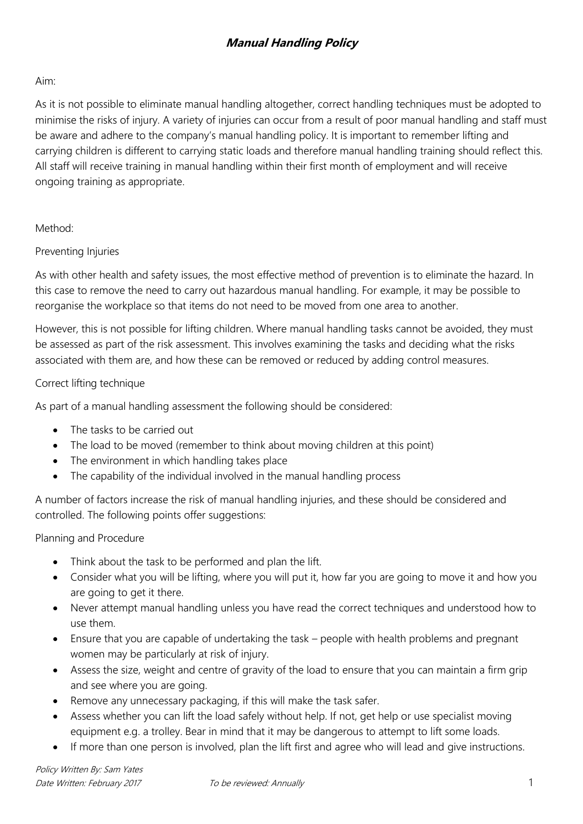## **Manual Handling Policy**

### Aim:

As it is not possible to eliminate manual handling altogether, correct handling techniques must be adopted to minimise the risks of injury. A variety of injuries can occur from a result of poor manual handling and staff must be aware and adhere to the company's manual handling policy. It is important to remember lifting and carrying children is different to carrying static loads and therefore manual handling training should reflect this. All staff will receive training in manual handling within their first month of employment and will receive ongoing training as appropriate.

#### Method:

## Preventing Injuries

As with other health and safety issues, the most effective method of prevention is to eliminate the hazard. In this case to remove the need to carry out hazardous manual handling. For example, it may be possible to reorganise the workplace so that items do not need to be moved from one area to another.

However, this is not possible for lifting children. Where manual handling tasks cannot be avoided, they must be assessed as part of the risk assessment. This involves examining the tasks and deciding what the risks associated with them are, and how these can be removed or reduced by adding control measures.

#### Correct lifting technique

As part of a manual handling assessment the following should be considered:

- The tasks to be carried out
- The load to be moved (remember to think about moving children at this point)
- The environment in which handling takes place
- The capability of the individual involved in the manual handling process

A number of factors increase the risk of manual handling injuries, and these should be considered and controlled. The following points offer suggestions:

## Planning and Procedure

- Think about the task to be performed and plan the lift.
- Consider what you will be lifting, where you will put it, how far you are going to move it and how you are going to get it there.
- Never attempt manual handling unless you have read the correct techniques and understood how to use them.
- Ensure that you are capable of undertaking the task people with health problems and pregnant women may be particularly at risk of injury.
- Assess the size, weight and centre of gravity of the load to ensure that you can maintain a firm grip and see where you are going.
- Remove any unnecessary packaging, if this will make the task safer.
- Assess whether you can lift the load safely without help. If not, get help or use specialist moving equipment e.g. a trolley. Bear in mind that it may be dangerous to attempt to lift some loads.
- If more than one person is involved, plan the lift first and agree who will lead and give instructions.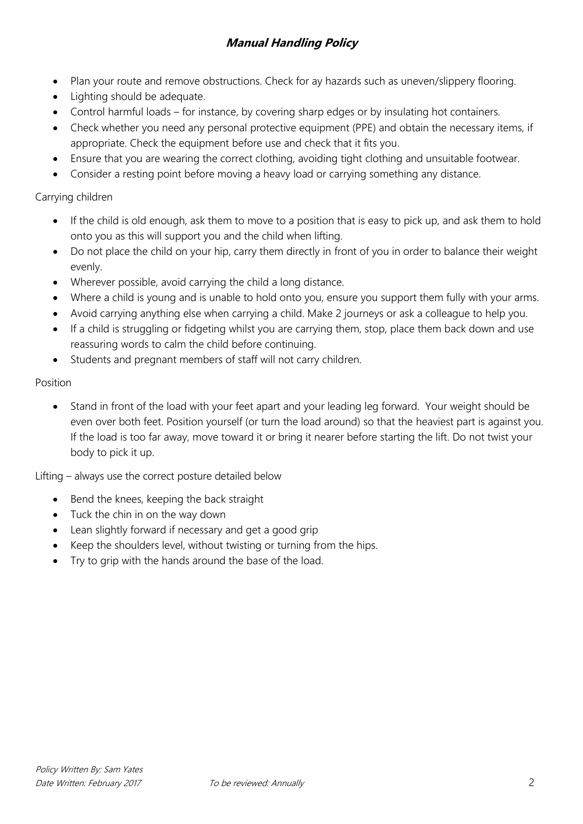# **Manual Handling Policy**

- Plan your route and remove obstructions. Check for ay hazards such as uneven/slippery flooring.
- Lighting should be adequate.
- Control harmful loads for instance, by covering sharp edges or by insulating hot containers.
- Check whether you need any personal protective equipment (PPE) and obtain the necessary items, if appropriate. Check the equipment before use and check that it fits you.
- Ensure that you are wearing the correct clothing, avoiding tight clothing and unsuitable footwear.
- Consider a resting point before moving a heavy load or carrying something any distance.

### Carrying children

- If the child is old enough, ask them to move to a position that is easy to pick up, and ask them to hold onto you as this will support you and the child when lifting.
- Do not place the child on your hip, carry them directly in front of you in order to balance their weight evenly.
- Wherever possible, avoid carrying the child a long distance.
- Where a child is young and is unable to hold onto you, ensure you support them fully with your arms.
- Avoid carrying anything else when carrying a child. Make 2 journeys or ask a colleague to help you.
- If a child is struggling or fidgeting whilst you are carrying them, stop, place them back down and use reassuring words to calm the child before continuing.
- Students and pregnant members of staff will not carry children.

#### Position

 Stand in front of the load with your feet apart and your leading leg forward. Your weight should be even over both feet. Position yourself (or turn the load around) so that the heaviest part is against you. If the load is too far away, move toward it or bring it nearer before starting the lift. Do not twist your body to pick it up.

Lifting – always use the correct posture detailed below

- Bend the knees, keeping the back straight
- Tuck the chin in on the way down
- Lean slightly forward if necessary and get a good grip
- Keep the shoulders level, without twisting or turning from the hips.
- Try to grip with the hands around the base of the load.